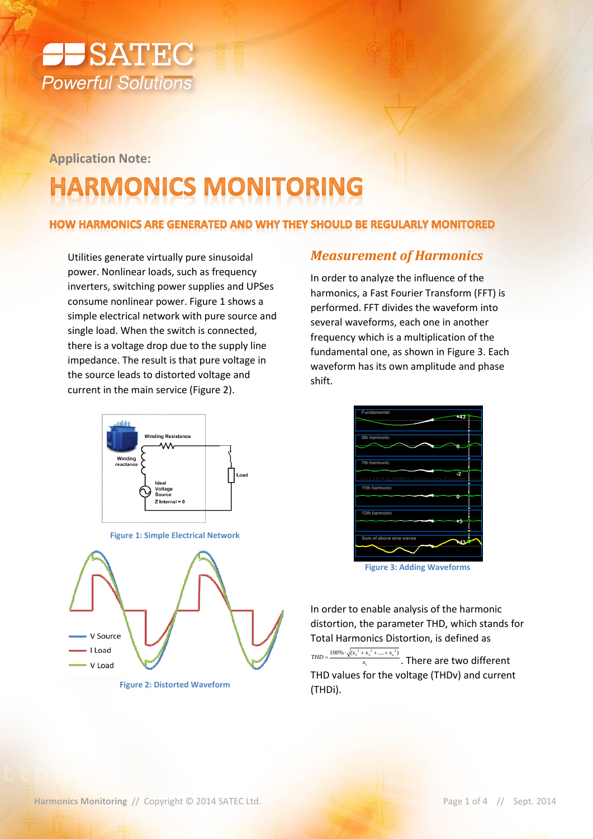

**Application Note:**

# **HARMONICS MONITORING**

#### HOW HARMONICS ARE GENERATED AND WHY THEY SHOULD BE REGULARLY MONITORED

Utilities generate virtually pure sinusoidal power. Nonlinear loads, such as frequency inverters, switching power supplies and UPSes consume nonlinear power[. Figure 1](#page-0-0) shows a simple electrical network with pure source and single load. When the switch is connected, there is a voltage drop due to the supply line impedance. The result is that pure voltage in the source leads to distorted voltage and current in the main service [\(Figure 2\)](#page-0-1).



**Figure 1: Simple Electrical Network**

<span id="page-0-0"></span>

<span id="page-0-1"></span>**Figure 2: Distorted Waveform**

#### *Measurement of Harmonics*

In order to analyze the influence of the harmonics, a Fast Fourier Transform (FFT) is performed. FFT divides the waveform into several waveforms, each one in another frequency which is a multiplication of the fundamental one, as shown in [Figure 3.](#page-0-2) Each waveform has its own amplitude and phase shift.

| <b>Fundamental</b><br>+43     |  |
|-------------------------------|--|
|                               |  |
|                               |  |
| <b>5th harmonic</b>           |  |
|                               |  |
| <b>7th harmonic</b>           |  |
| -2<br>CHEPN's<br>Joy McCA     |  |
| 11th harmonic                 |  |
| n                             |  |
| 13th harmonic                 |  |
| 73                            |  |
|                               |  |
| Sum of above sine waves<br>43 |  |
|                               |  |
|                               |  |

**Figure 3: Adding Waveforms**

<span id="page-0-2"></span>In order to enable analysis of the harmonic distortion, the parameter THD, which stands for Total Harmonics Distortion, is defined as

1  $100\% \cdot \sqrt{(x_2^2 + x_3^2 + \dots + x_n^2)}$ *x*  $\frac{100\% \cdot \sqrt{(x_2^2 + x_3^2 + .... + x_n^2)}}{x_1}$ . There are two different THD values for the voltage (THDv) and current (THDi).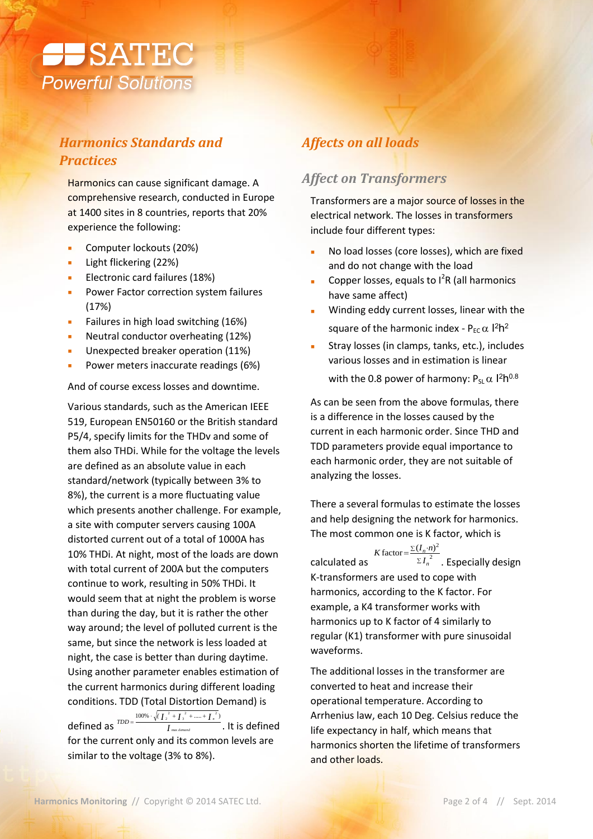

# *Harmonics Standards and Practices*

Harmonics can cause significant damage. A comprehensive research, conducted in Europe at 1400 sites in 8 countries, reports that 20% experience the following:

- **Computer lockouts (20%)**
- Light flickering (22%)
- Electronic card failures (18%)
- **Power Factor correction system failures** (17%)
- Failures in high load switching (16%)
- Neutral conductor overheating (12%)
- Unexpected breaker operation (11%)
- Power meters inaccurate readings (6%)

And of course excess losses and downtime.

Various standards, such as the American IEEE 519, European EN50160 or the British standard P5/4, specify limits for the THDv and some of them also THDi. While for the voltage the levels are defined as an absolute value in each standard/network (typically between 3% to 8%), the current is a more fluctuating value which presents another challenge. For example, a site with computer servers causing 100A distorted current out of a total of 1000A has 10% THDi. At night, most of the loads are down with total current of 200A but the computers continue to work, resulting in 50% THDi. It would seem that at night the problem is worse than during the day, but it is rather the other way around; the level of polluted current is the same, but since the network is less loaded at night, the case is better than during daytime. Using another parameter enables estimation of the current harmonics during different loading conditions. TDD (Total Distortion Demand) is defined as  $\frac{IDD}{I}$   $\frac{I}{I}$  $I_2$ <sup> $T$ </sup> +  $I_3$ <sup> $T$ </sup> + ..... +  $I_5$ *demand*  $TDD = \frac{100\% \cdot \sqrt{(I_2^2 + I_3^2 + ..... + I_n)}}{I_{\text{ max demand}}}$  $=\frac{100\% \cdot \sqrt{(\frac{I}{I})^2 + \frac{I}{I})^2 + \dots + \frac{I}{I}}^2}{I_{\text{max demand}}}$ . It is defined for the current only and its common levels are

## *Affects on all loads*

#### *Affect on Transformers*

Transformers are a major source of losses in the electrical network. The losses in transformers include four different types:

- No load losses (core losses), which are fixed and do not change with the load
- Copper losses, equals to  $I^2R$  (all harmonics have same affect)
- Winding eddy current losses, linear with the square of the harmonic index -  $P_{EC} \alpha$  l<sup>2</sup>h<sup>2</sup>
- Stray losses (in clamps, tanks, etc.), includes various losses and in estimation is linear with the 0.8 power of harmony:  $P_{SL} \alpha$  l<sup>2</sup>h<sup>0.8</sup>

As can be seen from the above formulas, there is a difference in the losses caused by the current in each harmonic order. Since THD and TDD parameters provide equal importance to each harmonic order, they are not suitable of analyzing the losses.

There a several formulas to estimate the losses and help designing the network for harmonics. The most common one is K factor, which is

calculated as  $K$  factor =  $\frac{\Sigma (I_n \cdot n)^2}{2}$ 2 *n I* . Especially design K-transformers are used to cope with harmonics, according to the K factor. For example, a K4 transformer works with harmonics up to K factor of 4 similarly to regular (K1) transformer with pure sinusoidal waveforms.

The additional losses in the transformer are converted to heat and increase their operational temperature. According to Arrhenius law, each 10 Deg. Celsius reduce the life expectancy in half, which means that harmonics shorten the lifetime of transformers and other loads.

similar to the voltage (3% to 8%).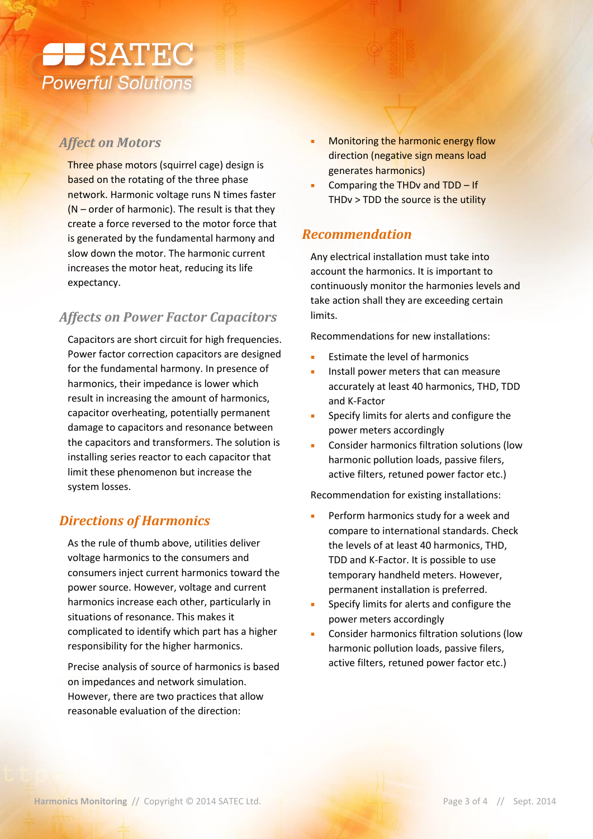

### *Affect on Motors*

Three phase motors (squirrel cage) design is based on the rotating of the three phase network. Harmonic voltage runs N times faster  $(N -$  order of harmonic). The result is that they create a force reversed to the motor force that is generated by the fundamental harmony and slow down the motor. The harmonic current increases the motor heat, reducing its life expectancy.

# *Affects on Power Factor Capacitors*

Capacitors are short circuit for high frequencies. Power factor correction capacitors are designed for the fundamental harmony. In presence of harmonics, their impedance is lower which result in increasing the amount of harmonics, capacitor overheating, potentially permanent damage to capacitors and resonance between the capacitors and transformers. The solution is installing series reactor to each capacitor that limit these phenomenon but increase the system losses.

## *Directions of Harmonics*

As the rule of thumb above, utilities deliver voltage harmonics to the consumers and consumers inject current harmonics toward the power source. However, voltage and current harmonics increase each other, particularly in situations of resonance. This makes it complicated to identify which part has a higher responsibility for the higher harmonics.

Precise analysis of source of harmonics is based on impedances and network simulation. However, there are two practices that allow reasonable evaluation of the direction:

- **Monitoring the harmonic energy flow** direction (negative sign means load generates harmonics)
- Comparing the THDv and TDD If THDv > TDD the source is the utility

#### *Recommendation*

Any electrical installation must take into account the harmonics. It is important to continuously monitor the harmonies levels and take action shall they are exceeding certain limits.

Recommendations for new installations:

- Estimate the level of harmonics
- Install power meters that can measure accurately at least 40 harmonics, THD, TDD and K-Factor
- Specify limits for alerts and configure the power meters accordingly
- Consider harmonics filtration solutions (low harmonic pollution loads, passive filers, active filters, retuned power factor etc.)

Recommendation for existing installations:

- Perform harmonics study for a week and compare to international standards. Check the levels of at least 40 harmonics, THD, TDD and K-Factor. It is possible to use temporary handheld meters. However, permanent installation is preferred.
- Specify limits for alerts and configure the power meters accordingly
- **EXECONSIDER HARMONICS filtration solutions (low** harmonic pollution loads, passive filers, active filters, retuned power factor etc.)